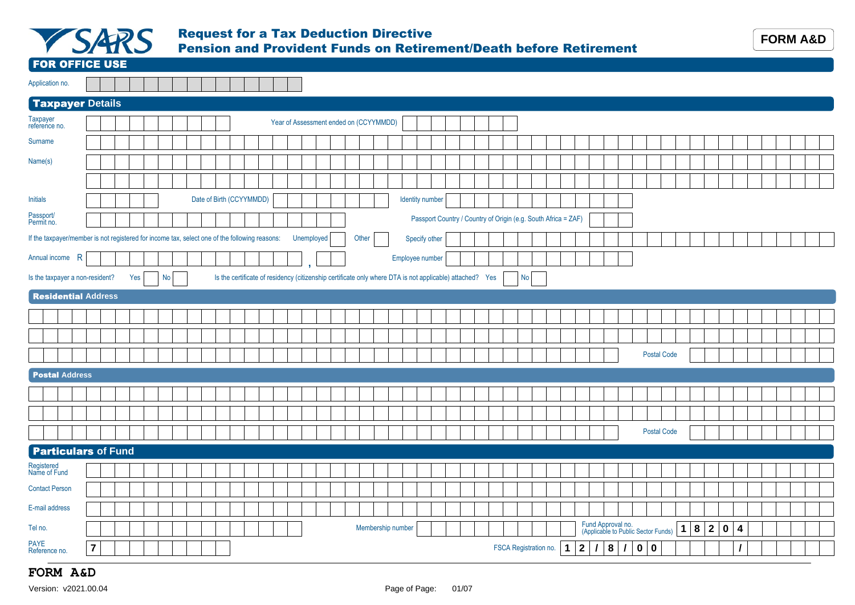

#### Request for a Tax Deduction Directive Pension and Provident Funds on Retirement/Death before Retirement

FOR OFFICE USE

| Application no. |  |  |  |  |  |  |  |
|-----------------|--|--|--|--|--|--|--|

#### Taxpayer **Details**

| Taxpayer<br>reference no.                                                                     |                |     |                 |  |                                                                                                          |  | Year of Assessment ended on (CCYYMMDD) |  |       |                   |                 |  |  |           |                                                                |             |              |                                                          |               |       |                    |           |   |                   |                                                    |  |  |  |
|-----------------------------------------------------------------------------------------------|----------------|-----|-----------------|--|----------------------------------------------------------------------------------------------------------|--|----------------------------------------|--|-------|-------------------|-----------------|--|--|-----------|----------------------------------------------------------------|-------------|--------------|----------------------------------------------------------|---------------|-------|--------------------|-----------|---|-------------------|----------------------------------------------------|--|--|--|
| Surname                                                                                       |                |     |                 |  |                                                                                                          |  |                                        |  |       |                   |                 |  |  |           |                                                                |             |              |                                                          |               |       |                    |           |   |                   |                                                    |  |  |  |
| Name(s)                                                                                       |                |     |                 |  |                                                                                                          |  |                                        |  |       |                   |                 |  |  |           |                                                                |             |              |                                                          |               |       |                    |           |   |                   |                                                    |  |  |  |
|                                                                                               |                |     |                 |  |                                                                                                          |  |                                        |  |       |                   |                 |  |  |           |                                                                |             |              |                                                          |               |       |                    |           |   |                   |                                                    |  |  |  |
| <b>Initials</b>                                                                               |                |     |                 |  | Date of Birth (CCYYMMDD)                                                                                 |  |                                        |  |       |                   | Identity number |  |  |           |                                                                |             |              |                                                          |               |       |                    |           |   |                   |                                                    |  |  |  |
| Passport/<br>Permit no.                                                                       |                |     |                 |  |                                                                                                          |  |                                        |  |       |                   |                 |  |  |           | Passport Country / Country of Origin (e.g. South Africa = ZAF) |             |              |                                                          |               |       |                    |           |   |                   |                                                    |  |  |  |
| If the taxpayer/member is not registered for income tax, select one of the following reasons: |                |     |                 |  |                                                                                                          |  | Unemployed                             |  | Other |                   | Specify other   |  |  |           |                                                                |             |              |                                                          |               |       |                    |           |   |                   |                                                    |  |  |  |
| Annual income R                                                                               |                |     |                 |  |                                                                                                          |  |                                        |  |       |                   | Employee number |  |  |           |                                                                |             |              |                                                          |               |       |                    |           |   |                   |                                                    |  |  |  |
| Is the taxpayer a non-resident?                                                               |                | Yes | No <sub>1</sub> |  | Is the certificate of residency (citizenship certificate only where DTA is not applicable) attached? Yes |  |                                        |  |       |                   |                 |  |  | <b>No</b> |                                                                |             |              |                                                          |               |       |                    |           |   |                   |                                                    |  |  |  |
| <b>Residential Address</b>                                                                    |                |     |                 |  |                                                                                                          |  |                                        |  |       |                   |                 |  |  |           |                                                                |             |              |                                                          |               |       |                    |           |   |                   |                                                    |  |  |  |
|                                                                                               |                |     |                 |  |                                                                                                          |  |                                        |  |       |                   |                 |  |  |           |                                                                |             |              |                                                          |               |       |                    |           |   |                   |                                                    |  |  |  |
|                                                                                               |                |     |                 |  |                                                                                                          |  |                                        |  |       |                   |                 |  |  |           |                                                                |             |              |                                                          |               |       |                    |           |   |                   |                                                    |  |  |  |
|                                                                                               |                |     |                 |  |                                                                                                          |  |                                        |  |       |                   |                 |  |  |           |                                                                |             |              |                                                          |               |       | <b>Postal Code</b> |           |   |                   |                                                    |  |  |  |
| <b>Postal Address</b>                                                                         |                |     |                 |  |                                                                                                          |  |                                        |  |       |                   |                 |  |  |           |                                                                |             |              |                                                          |               |       |                    |           |   |                   |                                                    |  |  |  |
|                                                                                               |                |     |                 |  |                                                                                                          |  |                                        |  |       |                   |                 |  |  |           |                                                                |             |              |                                                          |               |       |                    |           |   |                   |                                                    |  |  |  |
|                                                                                               |                |     |                 |  |                                                                                                          |  |                                        |  |       |                   |                 |  |  |           |                                                                |             |              |                                                          |               |       |                    |           |   |                   |                                                    |  |  |  |
|                                                                                               |                |     |                 |  |                                                                                                          |  |                                        |  |       |                   |                 |  |  |           |                                                                |             |              |                                                          |               |       | <b>Postal Code</b> |           |   |                   |                                                    |  |  |  |
| <b>Particulars of Fund</b>                                                                    |                |     |                 |  |                                                                                                          |  |                                        |  |       |                   |                 |  |  |           |                                                                |             |              |                                                          |               |       |                    |           |   |                   |                                                    |  |  |  |
| Registered<br>Name of Fund                                                                    |                |     |                 |  |                                                                                                          |  |                                        |  |       |                   |                 |  |  |           |                                                                |             |              |                                                          |               |       |                    |           |   |                   |                                                    |  |  |  |
| <b>Contact Person</b>                                                                         |                |     |                 |  |                                                                                                          |  |                                        |  |       |                   |                 |  |  |           |                                                                |             |              |                                                          |               |       |                    |           |   |                   |                                                    |  |  |  |
| E-mail address                                                                                |                |     |                 |  |                                                                                                          |  |                                        |  |       |                   |                 |  |  |           |                                                                |             |              |                                                          |               |       |                    |           |   |                   |                                                    |  |  |  |
| Tel no.                                                                                       |                |     |                 |  |                                                                                                          |  |                                        |  |       | Membership number |                 |  |  |           |                                                                |             |              | Fund Approval no.<br>(Applicable to Public Sector Funds) |               |       |                    | $\vert$ 1 | 8 | $\vert$ 2 $\vert$ | $\overline{\mathbf{0}}$<br>$\overline{\mathbf{4}}$ |  |  |  |
| PAYE<br>Reference no.                                                                         | $\overline{7}$ |     |                 |  |                                                                                                          |  |                                        |  |       |                   |                 |  |  |           | FSCA Registration no.                                          | $\mathbf 1$ | $\mathbf{2}$ | $\prime$                                                 | 8<br>$\prime$ | 0   0 |                    |           |   |                   | I                                                  |  |  |  |

### **FORM A&D**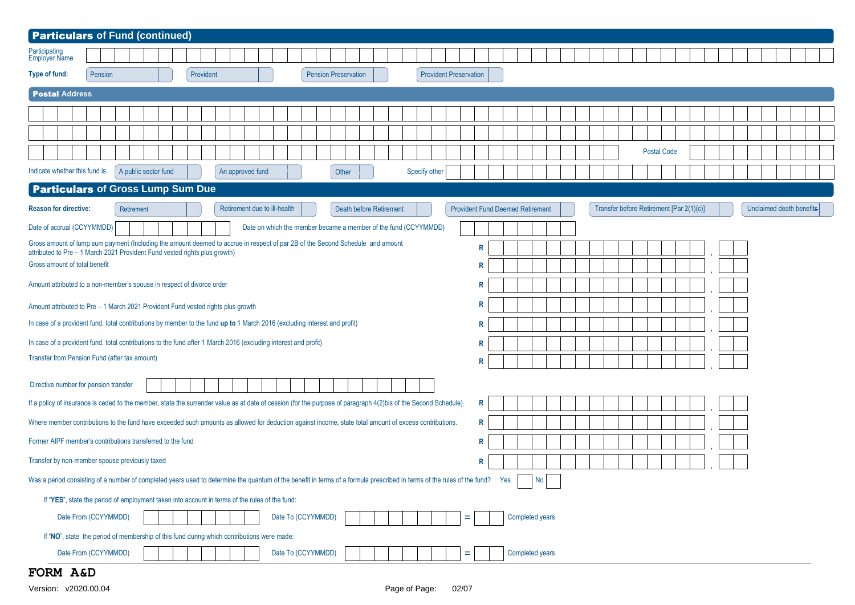| <b>Particulars of Fund (continued)</b>                                                                                                                                                                                   |
|--------------------------------------------------------------------------------------------------------------------------------------------------------------------------------------------------------------------------|
| Participating<br>Employer Name                                                                                                                                                                                           |
| Type of fund:<br>Pension<br>Provident<br><b>Pension Preservation</b><br><b>Provident Preservation</b>                                                                                                                    |
| <b>Postal Address</b>                                                                                                                                                                                                    |
|                                                                                                                                                                                                                          |
|                                                                                                                                                                                                                          |
| <b>Postal Code</b>                                                                                                                                                                                                       |
| Indicate whether this fund is:<br>An approved fund<br>Specify other<br>A public sector fund<br>Other                                                                                                                     |
| <b>Particulars of Gross Lump Sum Due</b>                                                                                                                                                                                 |
| Retirement due to ill-health<br><b>Provident Fund Deemed Retirement</b><br>Transfer before Retirement [Par 2(1)(c)]<br>Unclaimed death benefits<br><b>Reason for directive:</b><br>Death before Retirement<br>Retirement |
| Date of accrual (CCYYMMDD)<br>Date on which the member became a member of the fund (CCYYMMDD)                                                                                                                            |
| Gross amount of lump sum payment (Including the amount deemed to accrue in respect of par 2B of the Second Schedule and amount<br>R<br>attributed to Pre - 1 March 2021 Provident Fund vested rights plus growth)        |
| Gross amount of total benefit<br>R                                                                                                                                                                                       |
| Amount attributed to a non-member's spouse in respect of divorce order<br>R                                                                                                                                              |
| R<br>Amount attributed to Pre - 1 March 2021 Provident Fund vested rights plus growth                                                                                                                                    |
| In case of a provident fund, total contributions by member to the fund up to 1 March 2016 (excluding interest and profit)<br>R                                                                                           |
| In case of a provident fund, total contributions to the fund after 1 March 2016 (excluding interest and profit)<br>R                                                                                                     |
| Transfer from Pension Fund (after tax amount)<br>R                                                                                                                                                                       |
| Directive number for pension transfer                                                                                                                                                                                    |
| If a policy of insurance is ceded to the member, state the surrender value as at date of cession (for the purpose of paragraph 4(2)bis of the Second Schedule)<br>R                                                      |
| Where member contributions to the fund have exceeded such amounts as allowed for deduction against income, state total amount of excess contributions.<br>R                                                              |
| Former AIPF member's contributions transferred to the fund<br>R                                                                                                                                                          |
| Transfer by non-member spouse previously taxed<br>R                                                                                                                                                                      |
| No <sub>1</sub><br>Was a period consisting of a number of completed years used to determine the quantum of the benefit in terms of a formula prescribed in terms of the rules of the rules of the fund? Yes              |
| If "YES", state the period of employment taken into account in terms of the rules of the fund:                                                                                                                           |
| Date To (CCYYMMDD)<br>Date From (CCYYMMDD)<br>Completed years<br>÷                                                                                                                                                       |
| If "NO", state the period of membership of this fund during which contributions were made:                                                                                                                               |
| Date From (CCYYMMDD)<br>Date To (CCYYMMDD)<br>Completed years<br>=                                                                                                                                                       |

## **FORM A&D**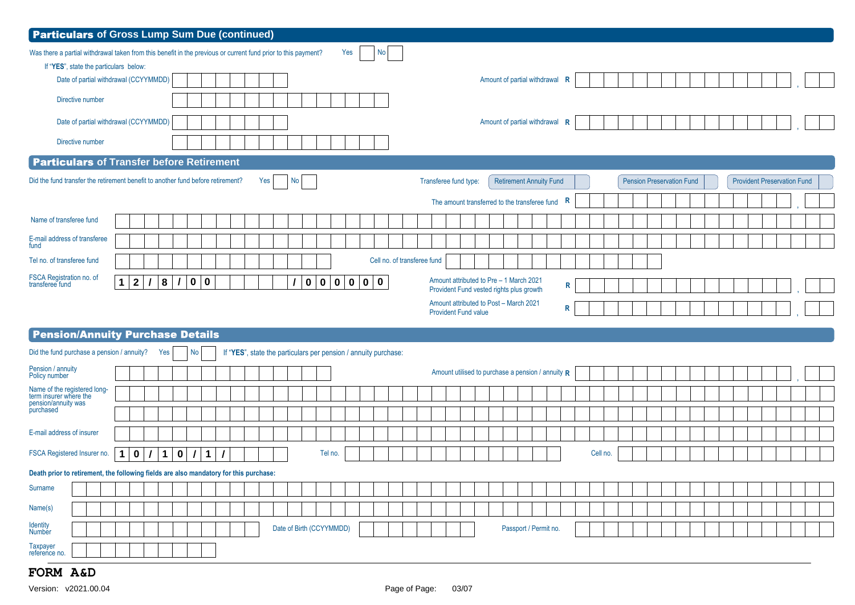| <b>Particulars</b> of Gross Lump Sum Due (continued)                                                                                                                                                                                                                         |
|------------------------------------------------------------------------------------------------------------------------------------------------------------------------------------------------------------------------------------------------------------------------------|
| Yes<br>Was there a partial withdrawal taken from this benefit in the previous or current fund prior to this payment?<br>No <sub>1</sub>                                                                                                                                      |
| If "YES", state the particulars below:                                                                                                                                                                                                                                       |
| Date of partial withdrawal (CCYYMMDD)<br>Amount of partial withdrawal<br>R                                                                                                                                                                                                   |
| Directive number                                                                                                                                                                                                                                                             |
| Date of partial withdrawal (CCYYMMDD)<br>Amount of partial withdrawal<br>R                                                                                                                                                                                                   |
| Directive number                                                                                                                                                                                                                                                             |
| <b>Particulars</b> of Transfer before Retirement                                                                                                                                                                                                                             |
| Did the fund transfer the retirement benefit to another fund before retirement?<br>Yes<br>No<br>Transferee fund type:<br><b>Retirement Annuity Fund</b><br><b>Pension Preservation Fund</b><br><b>Provident Preservation Fund</b>                                            |
| R<br>The amount transferred to the transferee fund                                                                                                                                                                                                                           |
| Name of transferee fund                                                                                                                                                                                                                                                      |
| E-mail address of transferee<br>fund                                                                                                                                                                                                                                         |
| Cell no. of transferee fund<br>Tel no. of transferee fund                                                                                                                                                                                                                    |
| FSCA Registration no. of<br>transferee fund<br>Amount attributed to Pre - 1 March 2021<br>2 <br>$\mathbf 0$<br>1 <sup>1</sup><br>$\prime$<br> 8 <br>$\overline{\mathbf{0}}$<br>0   0<br> 0 <br>0 0 0<br>$\prime$<br>$\mathbb{R}$<br>Provident Fund vested rights plus growth |
| Amount attributed to Post - March 2021<br>R                                                                                                                                                                                                                                  |
| <b>Provident Fund value</b>                                                                                                                                                                                                                                                  |
| <b>Pension/Annuity Purchase Details</b>                                                                                                                                                                                                                                      |
| Did the fund purchase a pension / annuity?<br>Yes<br>If "YES", state the particulars per pension / annuity purchase:<br>No                                                                                                                                                   |
| Pension / annuity<br>Amount utilised to purchase a pension / annuity R<br>Policy number                                                                                                                                                                                      |
| Name of the registered long-<br>term insurer where the                                                                                                                                                                                                                       |
| pension/annuity was<br>purchased                                                                                                                                                                                                                                             |
| E-mail address of insurer                                                                                                                                                                                                                                                    |
| $\vert$ 1 $\vert$<br>FSCA Registered Insurer no.<br>$\mathbf{1}$<br>$\mathbf 0$<br>$\overline{I}$<br>$\mathbf 1$<br> 0 <br>$\overline{I}$<br>Cell no.<br>$\prime$<br>Tel no.                                                                                                 |
| Death prior to retirement, the following fields are also mandatory for this purchase:                                                                                                                                                                                        |
| Surname                                                                                                                                                                                                                                                                      |
| Name(s)                                                                                                                                                                                                                                                                      |
| Identity<br>Date of Birth (CCYYMMDD)<br>Passport / Permit no.<br>Number                                                                                                                                                                                                      |
| <b>Taxpayer</b><br>reference no.                                                                                                                                                                                                                                             |

# **FORM A&D**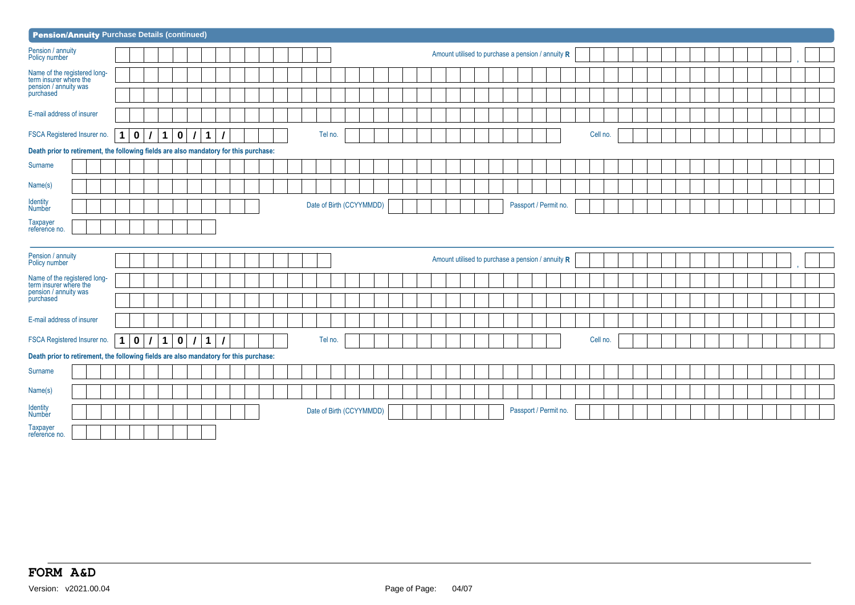| <b>Pension/Annuity Purchase Details (continued)</b>                                   |                            |             |   |             |          |   |  |  |  |                          |  |  |  |  |  |  |                                                   |                       |  |          |  |  |  |  |  |  |  |
|---------------------------------------------------------------------------------------|----------------------------|-------------|---|-------------|----------|---|--|--|--|--------------------------|--|--|--|--|--|--|---------------------------------------------------|-----------------------|--|----------|--|--|--|--|--|--|--|
| Pension / annuity<br>Policy number                                                    |                            |             |   |             |          |   |  |  |  |                          |  |  |  |  |  |  | Amount utilised to purchase a pension / annuity R |                       |  |          |  |  |  |  |  |  |  |
| Name of the registered long-<br>term insurer where the                                |                            |             |   |             |          |   |  |  |  |                          |  |  |  |  |  |  |                                                   |                       |  |          |  |  |  |  |  |  |  |
| pension / annuity was<br>purchased                                                    |                            |             |   |             |          |   |  |  |  |                          |  |  |  |  |  |  |                                                   |                       |  |          |  |  |  |  |  |  |  |
| E-mail address of insurer                                                             |                            |             |   |             |          |   |  |  |  |                          |  |  |  |  |  |  |                                                   |                       |  |          |  |  |  |  |  |  |  |
| FSCA Registered Insurer no.                                                           | $\mathbf 0$<br>$\mathbf 1$ |             | 1 | $\mathbf 0$ | $\prime$ | 1 |  |  |  | Tel no.                  |  |  |  |  |  |  |                                                   |                       |  | Cell no. |  |  |  |  |  |  |  |
| Death prior to retirement, the following fields are also mandatory for this purchase: |                            |             |   |             |          |   |  |  |  |                          |  |  |  |  |  |  |                                                   |                       |  |          |  |  |  |  |  |  |  |
| Surname                                                                               |                            |             |   |             |          |   |  |  |  |                          |  |  |  |  |  |  |                                                   |                       |  |          |  |  |  |  |  |  |  |
| Name(s)                                                                               |                            |             |   |             |          |   |  |  |  |                          |  |  |  |  |  |  |                                                   |                       |  |          |  |  |  |  |  |  |  |
| <b>Identity</b><br>Number                                                             |                            |             |   |             |          |   |  |  |  | Date of Birth (CCYYMMDD) |  |  |  |  |  |  |                                                   | Passport / Permit no. |  |          |  |  |  |  |  |  |  |
| Taxpayer<br>reference no.                                                             |                            |             |   |             |          |   |  |  |  |                          |  |  |  |  |  |  |                                                   |                       |  |          |  |  |  |  |  |  |  |
| Pension / annuity<br>Policy number                                                    |                            |             |   |             |          |   |  |  |  |                          |  |  |  |  |  |  | Amount utilised to purchase a pension / annuity R |                       |  |          |  |  |  |  |  |  |  |
| Name of the registered long-<br>term insurer where the                                |                            |             |   |             |          |   |  |  |  |                          |  |  |  |  |  |  |                                                   |                       |  |          |  |  |  |  |  |  |  |
| pension / annuity was<br>purchased                                                    |                            |             |   |             |          |   |  |  |  |                          |  |  |  |  |  |  |                                                   |                       |  |          |  |  |  |  |  |  |  |
| E-mail address of insurer                                                             |                            |             |   |             |          |   |  |  |  |                          |  |  |  |  |  |  |                                                   |                       |  |          |  |  |  |  |  |  |  |
| FSCA Registered Insurer no.                                                           | $\mathbf 1$                | $\mathbf 0$ | 1 | $\pmb{0}$   | $\prime$ | 1 |  |  |  | Tel no.                  |  |  |  |  |  |  |                                                   |                       |  | Cell no. |  |  |  |  |  |  |  |
| Death prior to retirement, the following fields are also mandatory for this purchase: |                            |             |   |             |          |   |  |  |  |                          |  |  |  |  |  |  |                                                   |                       |  |          |  |  |  |  |  |  |  |
| Surname                                                                               |                            |             |   |             |          |   |  |  |  |                          |  |  |  |  |  |  |                                                   |                       |  |          |  |  |  |  |  |  |  |
| Name(s)                                                                               |                            |             |   |             |          |   |  |  |  |                          |  |  |  |  |  |  |                                                   |                       |  |          |  |  |  |  |  |  |  |
| Identity<br>Number                                                                    |                            |             |   |             |          |   |  |  |  | Date of Birth (CCYYMMDD) |  |  |  |  |  |  |                                                   | Passport / Permit no. |  |          |  |  |  |  |  |  |  |
| Taxpayer<br>reference no.                                                             |                            |             |   |             |          |   |  |  |  |                          |  |  |  |  |  |  |                                                   |                       |  |          |  |  |  |  |  |  |  |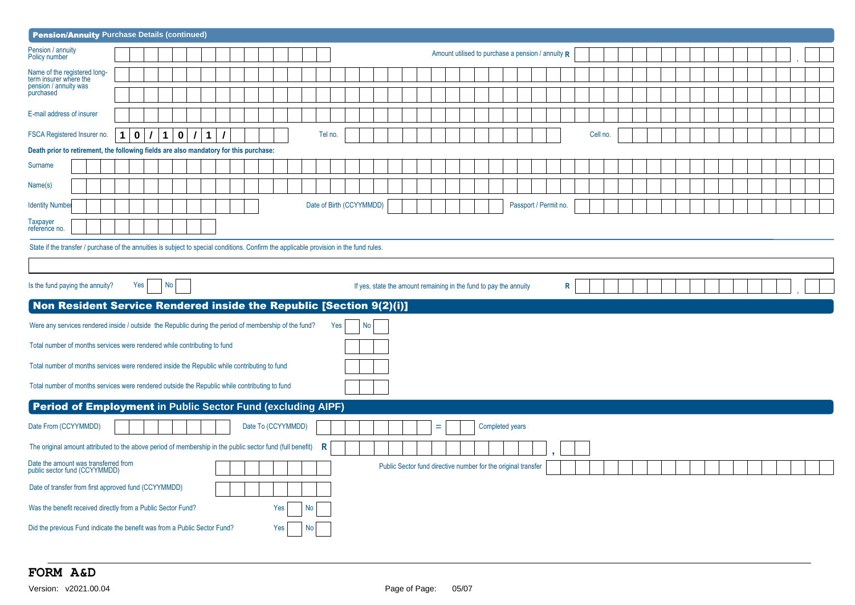| <b>Pension/Annuity Purchase Details (continued)</b>                                                                                     |   |          |                   |                 |             |                         |  |                    |     |    |                          |  |    |  |   |  |                                                                   |                 |                                                               |   |          |  |  |  |  |  |  |  |
|-----------------------------------------------------------------------------------------------------------------------------------------|---|----------|-------------------|-----------------|-------------|-------------------------|--|--------------------|-----|----|--------------------------|--|----|--|---|--|-------------------------------------------------------------------|-----------------|---------------------------------------------------------------|---|----------|--|--|--|--|--|--|--|
| Pension / annuity<br>Policy number                                                                                                      |   |          |                   |                 |             |                         |  |                    |     |    |                          |  |    |  |   |  |                                                                   |                 | Amount utilised to purchase a pension / annuity $R$           |   |          |  |  |  |  |  |  |  |
| Name of the registered long-<br>term insurer where the                                                                                  |   |          |                   |                 |             |                         |  |                    |     |    |                          |  |    |  |   |  |                                                                   |                 |                                                               |   |          |  |  |  |  |  |  |  |
| pension / annuity was<br>purchased                                                                                                      |   |          |                   |                 |             |                         |  |                    |     |    |                          |  |    |  |   |  |                                                                   |                 |                                                               |   |          |  |  |  |  |  |  |  |
| E-mail address of insurer                                                                                                               |   |          |                   |                 |             |                         |  |                    |     |    |                          |  |    |  |   |  |                                                                   |                 |                                                               |   |          |  |  |  |  |  |  |  |
| FSCA Registered Insurer no.                                                                                                             | 1 | $\bf{0}$ | $\mathcal I$<br>1 |                 | $\mathbf 0$ | $\prime$<br>$\mathbf 1$ |  |                    |     |    | Tel no.                  |  |    |  |   |  |                                                                   |                 |                                                               |   | Cell no. |  |  |  |  |  |  |  |
| Death prior to retirement, the following fields are also mandatory for this purchase:                                                   |   |          |                   |                 |             |                         |  |                    |     |    |                          |  |    |  |   |  |                                                                   |                 |                                                               |   |          |  |  |  |  |  |  |  |
| Surname                                                                                                                                 |   |          |                   |                 |             |                         |  |                    |     |    |                          |  |    |  |   |  |                                                                   |                 |                                                               |   |          |  |  |  |  |  |  |  |
| Name(s)                                                                                                                                 |   |          |                   |                 |             |                         |  |                    |     |    |                          |  |    |  |   |  |                                                                   |                 |                                                               |   |          |  |  |  |  |  |  |  |
| <b>Identity Number</b>                                                                                                                  |   |          |                   |                 |             |                         |  |                    |     |    | Date of Birth (CCYYMMDD) |  |    |  |   |  |                                                                   |                 | Passport / Permit no.                                         |   |          |  |  |  |  |  |  |  |
| Taxpayer<br>reference no.                                                                                                               |   |          |                   |                 |             |                         |  |                    |     |    |                          |  |    |  |   |  |                                                                   |                 |                                                               |   |          |  |  |  |  |  |  |  |
| State if the transfer / purchase of the annuities is subject to special conditions. Confirm the applicable provision in the fund rules. |   |          |                   |                 |             |                         |  |                    |     |    |                          |  |    |  |   |  |                                                                   |                 |                                                               |   |          |  |  |  |  |  |  |  |
|                                                                                                                                         |   |          |                   |                 |             |                         |  |                    |     |    |                          |  |    |  |   |  |                                                                   |                 |                                                               |   |          |  |  |  |  |  |  |  |
| Is the fund paying the annuity?                                                                                                         |   | Yes      |                   | No <sub>1</sub> |             |                         |  |                    |     |    |                          |  |    |  |   |  | If yes, state the amount remaining in the fund to pay the annuity |                 |                                                               | R |          |  |  |  |  |  |  |  |
| Non Resident Service Rendered inside the Republic [Section 9(2)(i)]                                                                     |   |          |                   |                 |             |                         |  |                    |     |    |                          |  |    |  |   |  |                                                                   |                 |                                                               |   |          |  |  |  |  |  |  |  |
|                                                                                                                                         |   |          |                   |                 |             |                         |  |                    |     |    |                          |  |    |  |   |  |                                                                   |                 |                                                               |   |          |  |  |  |  |  |  |  |
| Were any services rendered inside / outside the Republic during the period of membership of the fund?                                   |   |          |                   |                 |             |                         |  |                    |     |    | Yes                      |  | No |  |   |  |                                                                   |                 |                                                               |   |          |  |  |  |  |  |  |  |
| Total number of months services were rendered while contributing to fund                                                                |   |          |                   |                 |             |                         |  |                    |     |    |                          |  |    |  |   |  |                                                                   |                 |                                                               |   |          |  |  |  |  |  |  |  |
| Total number of months services were rendered inside the Republic while contributing to fund                                            |   |          |                   |                 |             |                         |  |                    |     |    |                          |  |    |  |   |  |                                                                   |                 |                                                               |   |          |  |  |  |  |  |  |  |
| Total number of months services were rendered outside the Republic while contributing to fund                                           |   |          |                   |                 |             |                         |  |                    |     |    |                          |  |    |  |   |  |                                                                   |                 |                                                               |   |          |  |  |  |  |  |  |  |
| <b>Period of Employment in Public Sector Fund (excluding AIPF)</b>                                                                      |   |          |                   |                 |             |                         |  |                    |     |    |                          |  |    |  |   |  |                                                                   |                 |                                                               |   |          |  |  |  |  |  |  |  |
| Date From (CCYYMMDD)                                                                                                                    |   |          |                   |                 |             |                         |  | Date To (CCYYMMDD) |     |    |                          |  |    |  | Ξ |  |                                                                   | Completed years |                                                               |   |          |  |  |  |  |  |  |  |
| The original amount attributed to the above period of membership in the public sector fund (full benefit)                               |   |          |                   |                 |             |                         |  |                    |     |    | $\mathsf{R}$             |  |    |  |   |  |                                                                   |                 |                                                               |   |          |  |  |  |  |  |  |  |
| Date the amount was transferred from<br>public sector fund (CCYYMMDD)                                                                   |   |          |                   |                 |             |                         |  |                    |     |    |                          |  |    |  |   |  |                                                                   |                 | Public Sector fund directive number for the original transfer |   |          |  |  |  |  |  |  |  |
| Date of transfer from first approved fund (CCYYMMDD)                                                                                    |   |          |                   |                 |             |                         |  |                    |     |    |                          |  |    |  |   |  |                                                                   |                 |                                                               |   |          |  |  |  |  |  |  |  |
| Was the benefit received directly from a Public Sector Fund?                                                                            |   |          |                   |                 |             |                         |  |                    | Yes | No |                          |  |    |  |   |  |                                                                   |                 |                                                               |   |          |  |  |  |  |  |  |  |
| Did the previous Fund indicate the benefit was from a Public Sector Fund?                                                               |   |          |                   |                 |             |                         |  |                    | Yes | No |                          |  |    |  |   |  |                                                                   |                 |                                                               |   |          |  |  |  |  |  |  |  |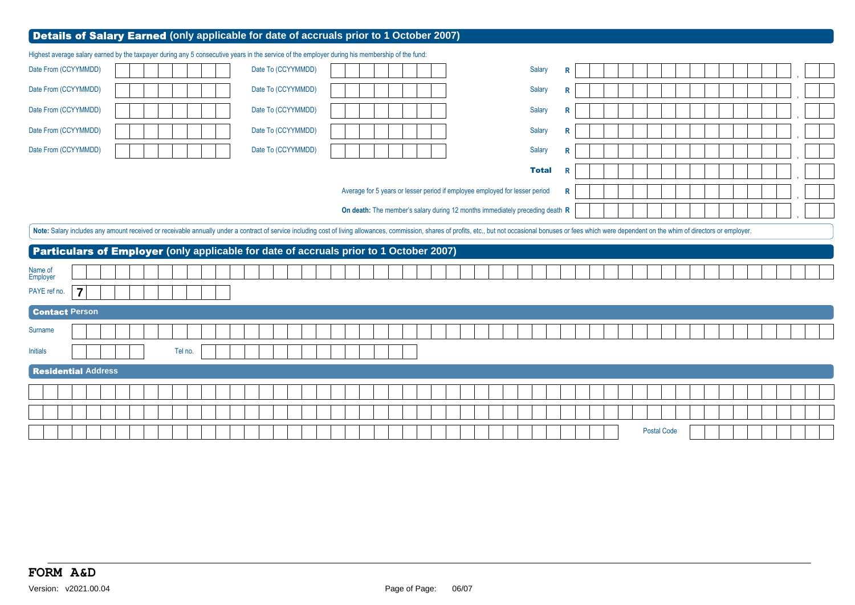|                                                                                                                                                | Details of Salary Earned (only applicable for date of accruals prior to 1 October 2007) |                                                                                                                                                                                                                                |  |
|------------------------------------------------------------------------------------------------------------------------------------------------|-----------------------------------------------------------------------------------------|--------------------------------------------------------------------------------------------------------------------------------------------------------------------------------------------------------------------------------|--|
| Highest average salary earned by the taxpayer during any 5 consecutive years in the service of the employer during his membership of the fund: |                                                                                         |                                                                                                                                                                                                                                |  |
| Date From (CCYYMMDD)                                                                                                                           | Date To (CCYYMMDD)                                                                      | Salary<br>R                                                                                                                                                                                                                    |  |
| Date From (CCYYMMDD)                                                                                                                           | Date To (CCYYMMDD)                                                                      | Salary<br>R                                                                                                                                                                                                                    |  |
| Date From (CCYYMMDD)                                                                                                                           | Date To (CCYYMMDD)                                                                      | Salary<br>R                                                                                                                                                                                                                    |  |
| Date From (CCYYMMDD)                                                                                                                           | Date To (CCYYMMDD)                                                                      | Salary<br>R                                                                                                                                                                                                                    |  |
| Date From (CCYYMMDD)                                                                                                                           | Date To (CCYYMMDD)                                                                      | Salary<br>R                                                                                                                                                                                                                    |  |
|                                                                                                                                                |                                                                                         | <b>Total</b><br>R                                                                                                                                                                                                              |  |
|                                                                                                                                                | Average for 5 years or lesser period if employee employed for lesser period             | R                                                                                                                                                                                                                              |  |
|                                                                                                                                                | On death: The member's salary during 12 months immediately preceding death R            |                                                                                                                                                                                                                                |  |
|                                                                                                                                                |                                                                                         | Note: Salary includes any amount received or receivable annually under a contract of service including cost of living allowances, commission, shares of profits, etc., but not occasional bonuses or fees which were dependent |  |
| <b>Particulars of Employer</b> (only applicable for date of accruals prior to 1 October 2007)                                                  |                                                                                         |                                                                                                                                                                                                                                |  |
|                                                                                                                                                |                                                                                         |                                                                                                                                                                                                                                |  |
|                                                                                                                                                |                                                                                         |                                                                                                                                                                                                                                |  |
| Name of<br>Employer<br>$\overline{7}$<br>PAYE ref no.                                                                                          |                                                                                         |                                                                                                                                                                                                                                |  |
| <b>Contact Person</b>                                                                                                                          |                                                                                         |                                                                                                                                                                                                                                |  |
| Surname                                                                                                                                        |                                                                                         |                                                                                                                                                                                                                                |  |
| Tel no.<br><b>Initials</b>                                                                                                                     |                                                                                         |                                                                                                                                                                                                                                |  |
| <b>Residential Address</b>                                                                                                                     |                                                                                         |                                                                                                                                                                                                                                |  |
|                                                                                                                                                |                                                                                         |                                                                                                                                                                                                                                |  |
|                                                                                                                                                |                                                                                         |                                                                                                                                                                                                                                |  |